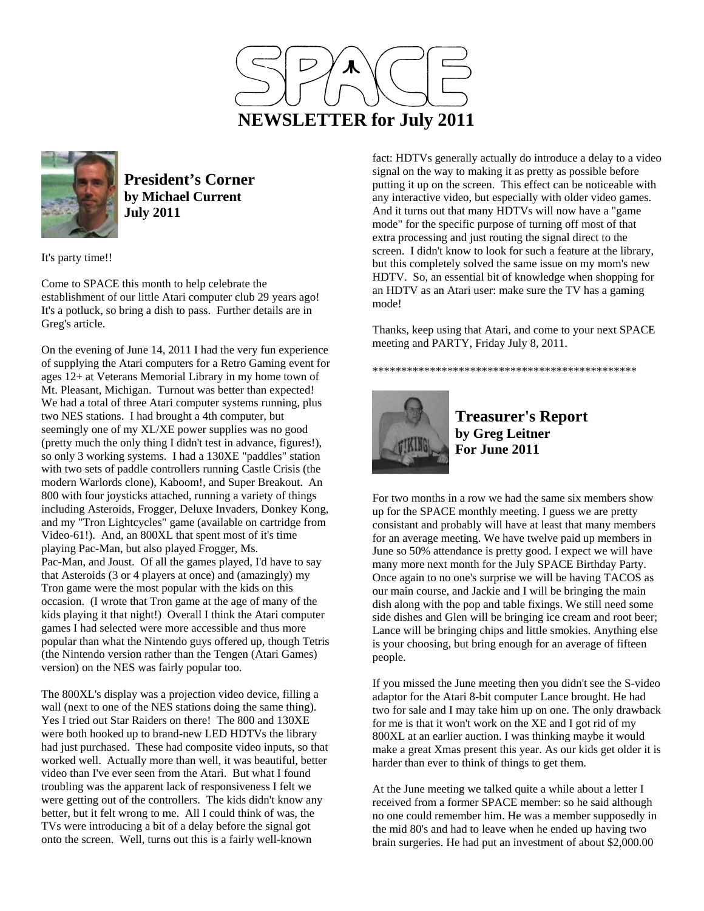



**President's Corner by Michael Current July 2011**

It's party time!!

Come to SPACE this month to help celebrate the establishment of our little Atari computer club 29 years ago! It's a potluck, so bring a dish to pass. Further details are in Greg's article.

On the evening of June 14, 2011 I had the very fun experience of supplying the Atari computers for a Retro Gaming event for ages 12+ at Veterans Memorial Library in my home town of Mt. Pleasant, Michigan. Turnout was better than expected! We had a total of three Atari computer systems running, plus two NES stations. I had brought a 4th computer, but seemingly one of my XL/XE power supplies was no good (pretty much the only thing I didn't test in advance, figures!), so only 3 working systems. I had a 130XE "paddles" station with two sets of paddle controllers running Castle Crisis (the modern Warlords clone), Kaboom!, and Super Breakout. An 800 with four joysticks attached, running a variety of things including Asteroids, Frogger, Deluxe Invaders, Donkey Kong, and my "Tron Lightcycles" game (available on cartridge from Video-61!). And, an 800XL that spent most of it's time playing Pac-Man, but also played Frogger, Ms. Pac-Man, and Joust. Of all the games played, I'd have to say that Asteroids (3 or 4 players at once) and (amazingly) my Tron game were the most popular with the kids on this occasion. (I wrote that Tron game at the age of many of the kids playing it that night!) Overall I think the Atari computer games I had selected were more accessible and thus more popular than what the Nintendo guys offered up, though Tetris (the Nintendo version rather than the Tengen (Atari Games) version) on the NES was fairly popular too.

The 800XL's display was a projection video device, filling a wall (next to one of the NES stations doing the same thing). Yes I tried out Star Raiders on there! The 800 and 130XE were both hooked up to brand-new LED HDTVs the library had just purchased. These had composite video inputs, so that worked well. Actually more than well, it was beautiful, better video than I've ever seen from the Atari. But what I found troubling was the apparent lack of responsiveness I felt we were getting out of the controllers. The kids didn't know any better, but it felt wrong to me. All I could think of was, the TVs were introducing a bit of a delay before the signal got onto the screen. Well, turns out this is a fairly well-known

fact: HDTVs generally actually do introduce a delay to a video signal on the way to making it as pretty as possible before putting it up on the screen. This effect can be noticeable with any interactive video, but especially with older video games. And it turns out that many HDTVs will now have a "game mode" for the specific purpose of turning off most of that extra processing and just routing the signal direct to the screen. I didn't know to look for such a feature at the library, but this completely solved the same issue on my mom's new HDTV. So, an essential bit of knowledge when shopping for an HDTV as an Atari user: make sure the TV has a gaming mode!

Thanks, keep using that Atari, and come to your next SPACE meeting and PARTY, Friday July 8, 2011.

\*\*\*\*\*\*\*\*\*\*\*\*\*\*\*\*\*\*\*\*\*\*\*\*\*\*\*\*\*\*\*\*\*\*\*\*\*\*\*\*\*\*\*\*\*\*



**Treasurer's Report by Greg Leitner For June 2011** 

For two months in a row we had the same six members show up for the SPACE monthly meeting. I guess we are pretty consistant and probably will have at least that many members for an average meeting. We have twelve paid up members in June so 50% attendance is pretty good. I expect we will have many more next month for the July SPACE Birthday Party. Once again to no one's surprise we will be having TACOS as our main course, and Jackie and I will be bringing the main dish along with the pop and table fixings. We still need some side dishes and Glen will be bringing ice cream and root beer; Lance will be bringing chips and little smokies. Anything else is your choosing, but bring enough for an average of fifteen people.

If you missed the June meeting then you didn't see the S-video adaptor for the Atari 8-bit computer Lance brought. He had two for sale and I may take him up on one. The only drawback for me is that it won't work on the XE and I got rid of my 800XL at an earlier auction. I was thinking maybe it would make a great Xmas present this year. As our kids get older it is harder than ever to think of things to get them.

At the June meeting we talked quite a while about a letter I received from a former SPACE member: so he said although no one could remember him. He was a member supposedly in the mid 80's and had to leave when he ended up having two brain surgeries. He had put an investment of about \$2,000.00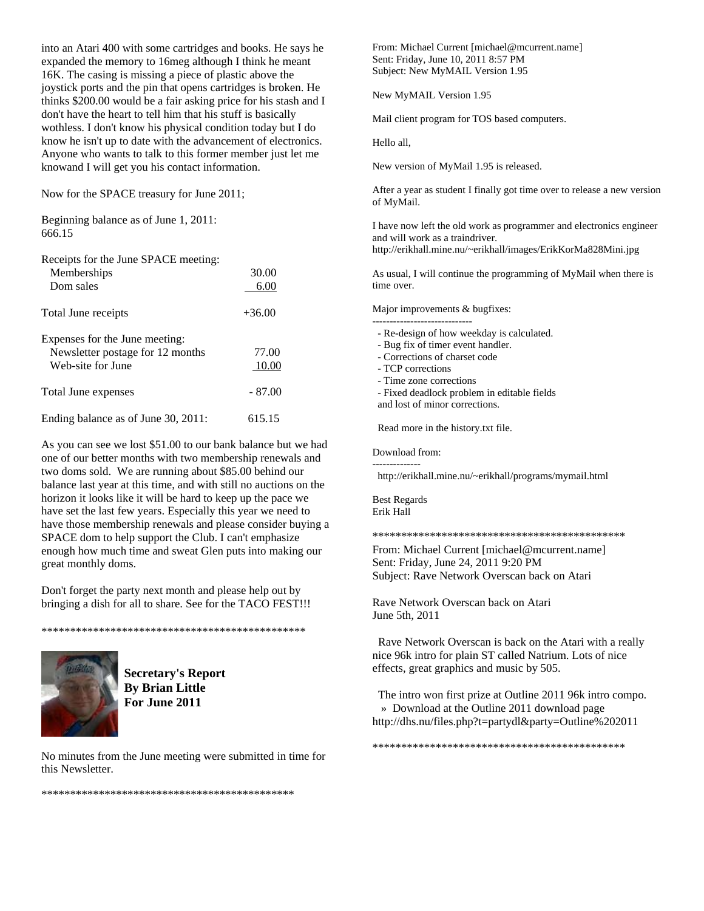into an Atari 400 with some cartridges and books. He says he expanded the memory to 16meg although I think he meant 16K. The casing is missing a piece of plastic above the joystick ports and the pin that opens cartridges is broken. He thinks \$200.00 would be a fair asking price for his stash and I don't have the heart to tell him that his stuff is basically wothless. I don't know his physical condition today but I do know he isn't up to date with the advancement of electronics. Anyone who wants to talk to this former member just let me knowand I will get you his contact information.

Now for the SPACE treasury for June 2011;

Beginning balance as of June 1, 2011: 666.15

| Receipts for the June SPACE meeting:<br>Memberships                                     | 30.00          |
|-----------------------------------------------------------------------------------------|----------------|
| Dom sales                                                                               | 6.00           |
| Total June receipts                                                                     | $+36.00$       |
| Expenses for the June meeting:<br>Newsletter postage for 12 months<br>Web-site for June | 77.00<br>10.00 |
| Total June expenses                                                                     | $-87.00$       |
| Ending balance as of June 30, 2011:                                                     | 615.15         |

As you can see we lost \$51.00 to our bank balance but we had one of our better months with two membership renewals and two doms sold. We are running about \$85.00 behind our balance last year at this time, and with still no auctions on the horizon it looks like it will be hard to keep up the pace we have set the last few years. Especially this year we need to have those membership renewals and please consider buying a SPACE dom to help support the Club. I can't emphasize enough how much time and sweat Glen puts into making our great monthly doms.

Don't forget the party next month and please help out by bringing a dish for all to share. See for the TACO FEST!!!

\*\*\*\*\*\*\*\*\*\*\*\*\*\*\*\*\*\*\*\*\*\*\*\*\*\*\*\*\*\*\*\*\*\*\*\*\*\*\*\*\*\*\*\*\*\*



**Secretary's Report By Brian Little For June 2011** 

No minutes from the June meeting were submitted in time for this Newsletter.

\*\*\*\*\*\*\*\*\*\*\*\*\*\*\*\*\*\*\*\*\*\*\*\*\*\*\*\*\*\*\*\*\*\*\*\*\*\*\*\*\*\*\*\*

From: Michael Current [michael@mcurrent.name] Sent: Friday, June 10, 2011 8:57 PM Subject: New MyMAIL Version 1.95

New MyMAIL Version 1.95

Mail client program for TOS based computers.

Hello all,

New version of MyMail 1.95 is released.

After a year as student I finally got time over to release a new version of MyMail.

I have now left the old work as programmer and electronics engineer and will work as a traindriver. http://erikhall.mine.nu/~erikhall/images/ErikKorMa828Mini.jpg

As usual, I will continue the programming of MyMail when there is time over.

Major improvements & bugfixes:

- ----------------------------- - Re-design of how weekday is calculated.
- Bug fix of timer event handler.
- Corrections of charset code
- TCP corrections
- Time zone corrections
- Fixed deadlock problem in editable fields
- and lost of minor corrections.

Read more in the history.txt file.

Download from:

------------- http://erikhall.mine.nu/~erikhall/programs/mymail.html

Best Regards Erik Hall

\*\*\*\*\*\*\*\*\*\*\*\*\*\*\*\*\*\*\*\*\*\*\*\*\*\*\*\*\*\*\*\*\*\*\*\*\*\*\*\*\*\*\*\*

From: Michael Current [michael@mcurrent.name] Sent: Friday, June 24, 2011 9:20 PM Subject: Rave Network Overscan back on Atari

Rave Network Overscan back on Atari June 5th, 2011

 Rave Network Overscan is back on the Atari with a really nice 96k intro for plain ST called Natrium. Lots of nice effects, great graphics and music by 505.

 The intro won first prize at Outline 2011 96k intro compo. » Download at the Outline 2011 download page http://dhs.nu/files.php?t=partydl&party=Outline%202011

\*\*\*\*\*\*\*\*\*\*\*\*\*\*\*\*\*\*\*\*\*\*\*\*\*\*\*\*\*\*\*\*\*\*\*\*\*\*\*\*\*\*\*\*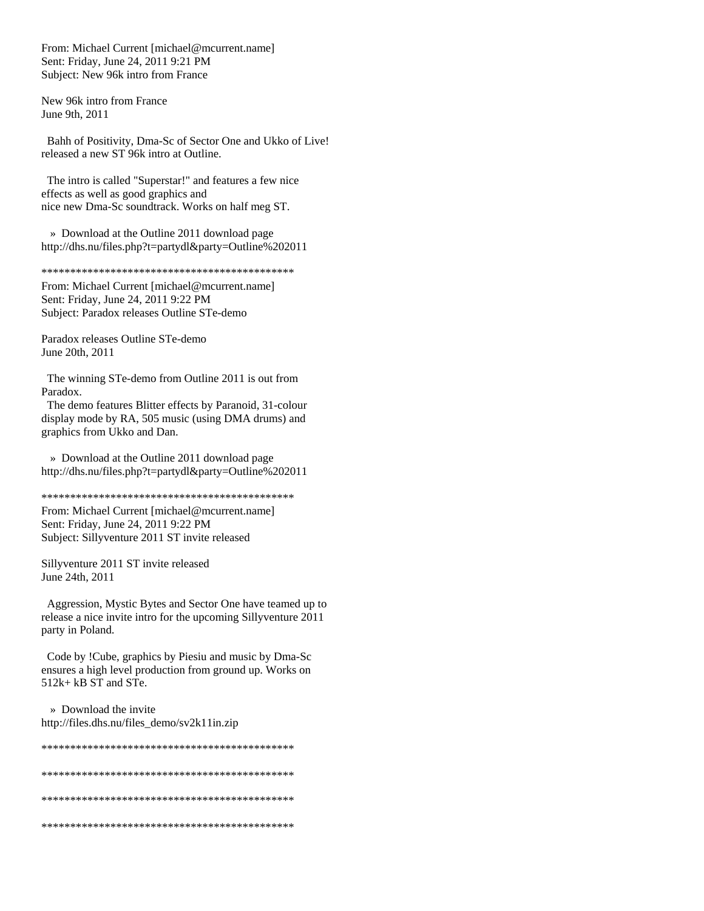From: Michael Current [michael@mcurrent.name] Sent: Friday, June 24, 2011 9:21 PM Subject: New 96k intro from France

New 96k intro from France June 9th, 2011

 Bahh of Positivity, Dma-Sc of Sector One and Ukko of Live! released a new ST 96k intro at Outline.

 The intro is called "Superstar!" and features a few nice effects as well as good graphics and nice new Dma-Sc soundtrack. Works on half meg ST.

 » Download at the Outline 2011 download page http://dhs.nu/files.php?t=partydl&party=Outline%202011

\*\*\*\*\*\*\*\*\*\*\*\*\*\*\*\*\*\*\*\*\*\*\*\*\*\*\*\*\*\*\*\*\*\*\*\*\*\*\*\*\*\*\*\*

From: Michael Current [michael@mcurrent.name] Sent: Friday, June 24, 2011 9:22 PM Subject: Paradox releases Outline STe-demo

Paradox releases Outline STe-demo June 20th, 2011

 The winning STe-demo from Outline 2011 is out from Paradox.

 The demo features Blitter effects by Paranoid, 31-colour display mode by RA, 505 music (using DMA drums) and graphics from Ukko and Dan.

 » Download at the Outline 2011 download page http://dhs.nu/files.php?t=partydl&party=Outline%202011

\*\*\*\*\*\*\*\*\*\*\*\*\*\*\*\*\*\*\*\*\*\*\*\*\*\*\*\*\*\*\*\*\*\*\*\*\*\*\*\*\*\*\*\*

From: Michael Current [michael@mcurrent.name] Sent: Friday, June 24, 2011 9:22 PM Subject: Sillyventure 2011 ST invite released

Sillyventure 2011 ST invite released June 24th, 2011

 Aggression, Mystic Bytes and Sector One have teamed up to release a nice invite intro for the upcoming Sillyventure 2011 party in Poland.

 Code by !Cube, graphics by Piesiu and music by Dma-Sc ensures a high level production from ground up. Works on 512k+ kB ST and STe.

 » Download the invite http://files.dhs.nu/files\_demo/sv2k11in.zip

\*\*\*\*\*\*\*\*\*\*\*\*\*\*\*\*\*\*\*\*\*\*\*\*\*\*\*\*\*\*\*\*\*\*\*\*\*\*\*\*\*\*\*\* \*\*\*\*\*\*\*\*\*\*\*\*\*\*\*\*\*\*\*\*\*\*\*\*\*\*\*\*\*\*\*\*\*\*\*\*\*\*\*\*\*\*\*\* \*\*\*\*\*\*\*\*\*\*\*\*\*\*\*\*\*\*\*\*\*\*\*\*\*\*\*\*\*\*\*\*\*\*\*\*\*\*\*\*\*\*\*\* \*\*\*\*\*\*\*\*\*\*\*\*\*\*\*\*\*\*\*\*\*\*\*\*\*\*\*\*\*\*\*\*\*\*\*\*\*\*\*\*\*\*\*\*